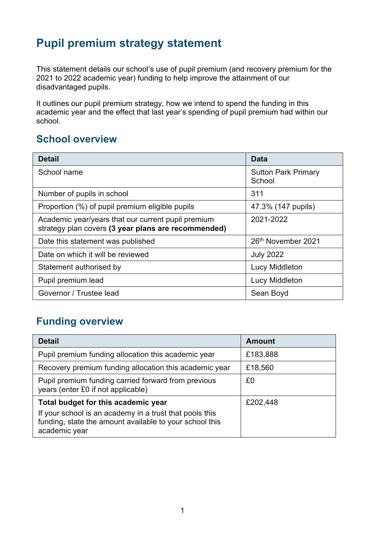## **Pupil premium strategy statement**

This statement details our school's use of pupil premium (and recovery premium for the 2021 to 2022 academic year) funding to help improve the attainment of our disadvantaged pupils.

It outlines our pupil premium strategy, how we intend to spend the funding in this academic year and the effect that last year's spending of pupil premium had within our school.

#### **School overview**

| <b>Detail</b>                                                                                             | <b>Data</b>                          |
|-----------------------------------------------------------------------------------------------------------|--------------------------------------|
| School name                                                                                               | <b>Sutton Park Primary</b><br>School |
| Number of pupils in school                                                                                | 311                                  |
| Proportion (%) of pupil premium eligible pupils                                                           | 47.3% (147 pupils)                   |
| Academic year/years that our current pupil premium<br>strategy plan covers (3 year plans are recommended) | 2021-2022                            |
| Date this statement was published                                                                         | 26 <sup>th</sup> November 2021       |
| Date on which it will be reviewed                                                                         | <b>July 2022</b>                     |
| Statement authorised by                                                                                   | Lucy Middleton                       |
| Pupil premium lead                                                                                        | Lucy Middleton                       |
| Governor / Trustee lead                                                                                   | Sean Boyd                            |

#### **Funding overview**

| <b>Detail</b>                                                                                                                                                              | <b>Amount</b> |
|----------------------------------------------------------------------------------------------------------------------------------------------------------------------------|---------------|
| Pupil premium funding allocation this academic year                                                                                                                        | £183,888      |
| Recovery premium funding allocation this academic year                                                                                                                     | £18,560       |
| Pupil premium funding carried forward from previous<br>years (enter £0 if not applicable)                                                                                  | £0            |
| Total budget for this academic year<br>If your school is an academy in a trust that pools this<br>funding, state the amount available to your school this<br>academic year | £202,448      |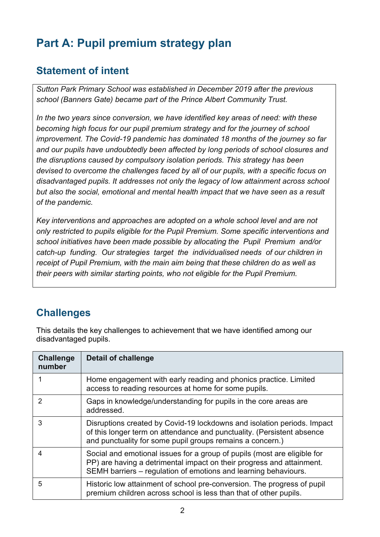# **Part A: Pupil premium strategy plan**

### **Statement of intent**

*Sutton Park Primary School was established in December 2019 after the previous school (Banners Gate) became part of the Prince Albert Community Trust.* 

*In the two years since conversion, we have identified key areas of need: with these becoming high focus for our pupil premium strategy and for the journey of school improvement. The Covid-19 pandemic has dominated 18 months of the journey so far and our pupils have undoubtedly been affected by long periods of school closures and the disruptions caused by compulsory isolation periods. This strategy has been devised to overcome the challenges faced by all of our pupils, with a specific focus on disadvantaged pupils. It addresses not only the legacy of low attainment across school but also the social, emotional and mental health impact that we have seen as a result of the pandemic.* 

*Key interventions and approaches are adopted on a whole school level and are not only restricted to pupils eligible for the Pupil Premium. Some specific interventions and school initiatives have been made possible by allocating the Pupil Premium and/or catch-up funding. Our strategies target the individualised needs of our children in receipt of Pupil Premium, with the main aim being that these children do as well as their peers with similar starting points, who not eligible for the Pupil Premium.*

### **Challenges**

This details the key challenges to achievement that we have identified among our disadvantaged pupils.

| <b>Challenge</b><br>number | <b>Detail of challenge</b>                                                                                                                                                                                           |
|----------------------------|----------------------------------------------------------------------------------------------------------------------------------------------------------------------------------------------------------------------|
|                            | Home engagement with early reading and phonics practice. Limited<br>access to reading resources at home for some pupils.                                                                                             |
| 2                          | Gaps in knowledge/understanding for pupils in the core areas are<br>addressed.                                                                                                                                       |
| 3                          | Disruptions created by Covid-19 lockdowns and isolation periods. Impact<br>of this longer term on attendance and punctuality. (Persistent absence<br>and punctuality for some pupil groups remains a concern.)       |
| 4                          | Social and emotional issues for a group of pupils (most are eligible for<br>PP) are having a detrimental impact on their progress and attainment.<br>SEMH barriers – regulation of emotions and learning behaviours. |
| 5                          | Historic low attainment of school pre-conversion. The progress of pupil<br>premium children across school is less than that of other pupils.                                                                         |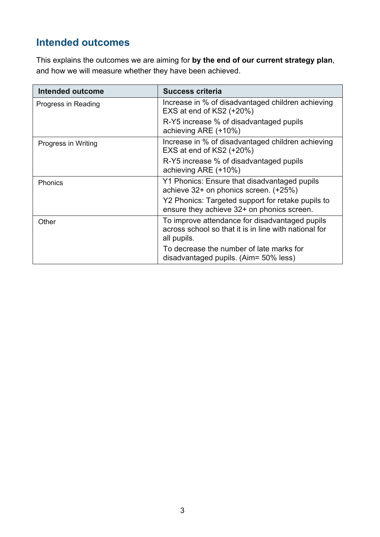### **Intended outcomes**

This explains the outcomes we are aiming for **by the end of our current strategy plan**, and how we will measure whether they have been achieved.

| <b>Intended outcome</b> | Success criteria                                                                                                       |
|-------------------------|------------------------------------------------------------------------------------------------------------------------|
| Progress in Reading     | Increase in % of disadvantaged children achieving<br>EXS at end of $KS2$ (+20%)                                        |
|                         | R-Y5 increase % of disadvantaged pupils<br>achieving ARE (+10%)                                                        |
| Progress in Writing     | Increase in % of disadvantaged children achieving<br>EXS at end of KS2 (+20%)                                          |
|                         | R-Y5 increase % of disadvantaged pupils<br>achieving ARE (+10%)                                                        |
| Phonics                 | Y1 Phonics: Ensure that disadvantaged pupils<br>achieve 32+ on phonics screen. (+25%)                                  |
|                         | Y2 Phonics: Targeted support for retake pupils to<br>ensure they achieve 32+ on phonics screen.                        |
| Other                   | To improve attendance for disadvantaged pupils<br>across school so that it is in line with national for<br>all pupils. |
|                         | To decrease the number of late marks for<br>disadvantaged pupils. (Aim= 50% less)                                      |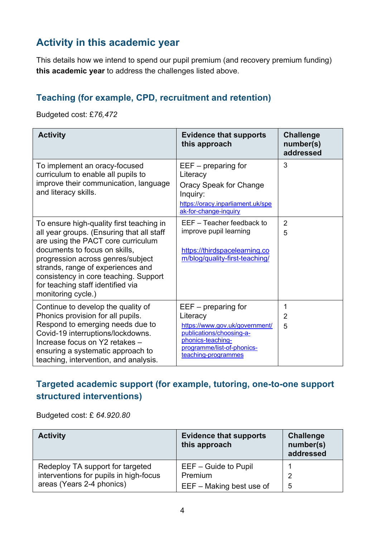### **Activity in this academic year**

This details how we intend to spend our pupil premium (and recovery premium funding) **this academic year** to address the challenges listed above.

#### **Teaching (for example, CPD, recruitment and retention)**

Budgeted cost: £*76,472*

| <b>Activity</b>                                                                                                                                                                                                                                                                                                                            | <b>Evidence that supports</b><br>this approach                                                                                                                            | <b>Challenge</b><br>number(s)<br>addressed |
|--------------------------------------------------------------------------------------------------------------------------------------------------------------------------------------------------------------------------------------------------------------------------------------------------------------------------------------------|---------------------------------------------------------------------------------------------------------------------------------------------------------------------------|--------------------------------------------|
| To implement an oracy-focused<br>curriculum to enable all pupils to<br>improve their communication, language<br>and literacy skills.                                                                                                                                                                                                       | $EEF - preparing for$<br>Literacy<br>Oracy Speak for Change<br>Inquiry:<br>https://oracy.inparliament.uk/spe<br>ak-for-change-inquiry                                     | 3                                          |
| To ensure high-quality first teaching in<br>all year groups. (Ensuring that all staff<br>are using the PACT core curriculum<br>documents to focus on skills,<br>progression across genres/subject<br>strands, range of experiences and<br>consistency in core teaching. Support<br>for teaching staff identified via<br>monitoring cycle.) | EEF - Teacher feedback to<br>improve pupil learning<br>https://thirdspacelearning.co<br>m/blog/quality-first-teaching/                                                    | $\overline{2}$<br>5                        |
| Continue to develop the quality of<br>Phonics provision for all pupils.<br>Respond to emerging needs due to<br>Covid-19 interruptions/lockdowns.<br>Increase focus on Y2 retakes -<br>ensuring a systematic approach to<br>teaching, intervention, and analysis.                                                                           | $EEF - preparing for$<br>Literacy<br>https://www.gov.uk/government/<br>publications/choosing-a-<br>phonics-teaching-<br>programme/list-of-phonics-<br>teaching-programmes | 1<br>$\overline{2}$<br>5                   |

#### **Targeted academic support (for example, tutoring, one-to-one support structured interventions)**

Budgeted cost: £ *64.920.80*

| <b>Activity</b>                                                            | <b>Evidence that supports</b><br>this approach | <b>Challenge</b><br>number(s)<br>addressed |
|----------------------------------------------------------------------------|------------------------------------------------|--------------------------------------------|
| Redeploy TA support for targeted<br>interventions for pupils in high-focus | EEF - Guide to Pupil<br>Premium                | 2                                          |
| areas (Years 2-4 phonics)                                                  | EEF - Making best use of                       | 5                                          |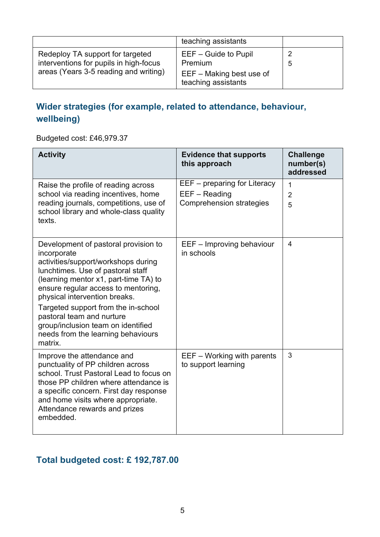|                                                                                                                     | teaching assistants                                                                    |   |
|---------------------------------------------------------------------------------------------------------------------|----------------------------------------------------------------------------------------|---|
| Redeploy TA support for targeted<br>interventions for pupils in high-focus<br>areas (Years 3-5 reading and writing) | $EEF - Guide to Pupil$<br>Premium<br>$EEF - Making best use of$<br>teaching assistants | 5 |

#### **Wider strategies (for example, related to attendance, behaviour, wellbeing)**

Budgeted cost: £46,979.37

| <b>Activity</b>                                                                                                                                                                                                                                                                                                                                                                                             | <b>Evidence that supports</b><br>this approach                                   | <b>Challenge</b><br>number(s)<br>addressed |
|-------------------------------------------------------------------------------------------------------------------------------------------------------------------------------------------------------------------------------------------------------------------------------------------------------------------------------------------------------------------------------------------------------------|----------------------------------------------------------------------------------|--------------------------------------------|
| Raise the profile of reading across<br>school via reading incentives, home<br>reading journals, competitions, use of<br>school library and whole-class quality<br>texts.                                                                                                                                                                                                                                    | EEF – preparing for Literacy<br>EEF - Reading<br><b>Comprehension strategies</b> | 1<br>$\overline{2}$<br>5                   |
| Development of pastoral provision to<br>incorporate<br>activities/support/workshops during<br>lunchtimes. Use of pastoral staff<br>(learning mentor x1, part-time TA) to<br>ensure regular access to mentoring,<br>physical intervention breaks.<br>Targeted support from the in-school<br>pastoral team and nurture<br>group/inclusion team on identified<br>needs from the learning behaviours<br>matrix. | EEF - Improving behaviour<br>in schools                                          | $\overline{4}$                             |
| Improve the attendance and<br>punctuality of PP children across<br>school. Trust Pastoral Lead to focus on<br>those PP children where attendance is<br>a specific concern. First day response<br>and home visits where appropriate.<br>Attendance rewards and prizes<br>embedded.                                                                                                                           | EEF - Working with parents<br>to support learning                                | 3                                          |

#### **Total budgeted cost: £ 192,787.00**